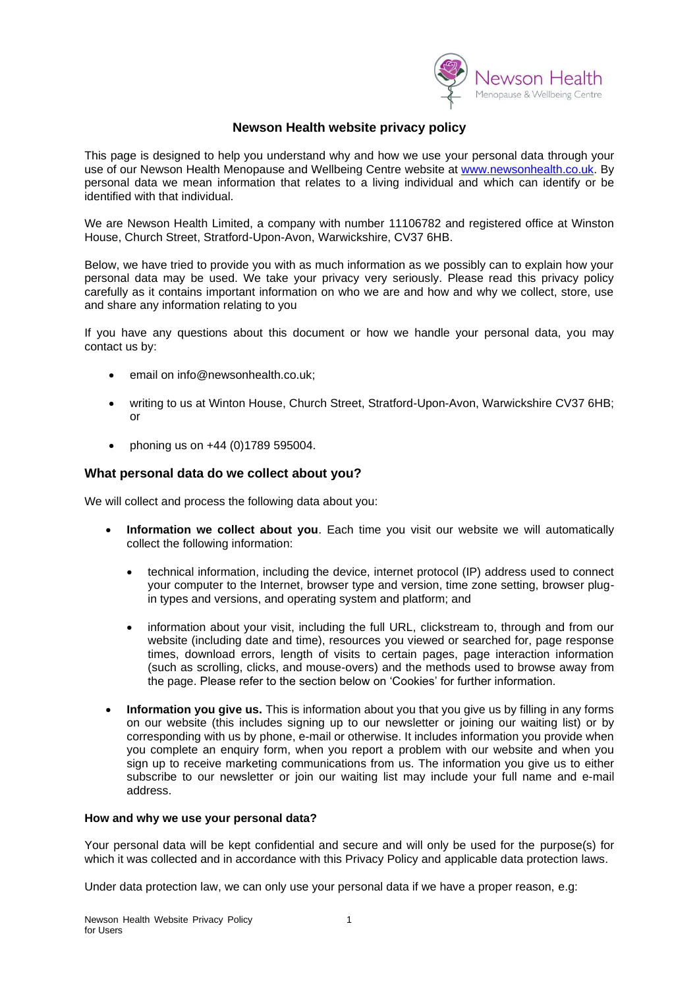

# **Newson Health website privacy policy**

This page is designed to help you understand why and how we use your personal data through your use of our Newson Health Menopause and Wellbeing Centre website at [www.newsonhealth.co.uk.](http://www.newsonhealth.co.uk/) By personal data we mean information that relates to a living individual and which can identify or be identified with that individual.

We are Newson Health Limited, a company with number 11106782 and registered office at Winston House, Church Street, Stratford-Upon-Avon, Warwickshire, CV37 6HB.

Below, we have tried to provide you with as much information as we possibly can to explain how your personal data may be used. We take your privacy very seriously. Please read this privacy policy carefully as it contains important information on who we are and how and why we collect, store, use and share any information relating to you

If you have any questions about this document or how we handle your personal data, you may contact us by:

- email on info@newsonhealth.co.uk;
- writing to us at Winton House, Church Street, Stratford-Upon-Avon, Warwickshire CV37 6HB; or
- phoning us on +44 (0)1789 595004.

## **What personal data do we collect about you?**

We will collect and process the following data about you:

- **Information we collect about you**. Each time you visit our website we will automatically collect the following information:
	- technical information, including the device, internet protocol (IP) address used to connect your computer to the Internet, browser type and version, time zone setting, browser plugin types and versions, and operating system and platform; and
	- information about your visit, including the full URL, clickstream to, through and from our website (including date and time), resources you viewed or searched for, page response times, download errors, length of visits to certain pages, page interaction information (such as scrolling, clicks, and mouse-overs) and the methods used to browse away from the page. Please refer to the section below on 'Cookies' for further information.
- **Information you give us.** This is information about you that you give us by filling in any forms on our website (this includes signing up to our newsletter or joining our waiting list) or by corresponding with us by phone, e-mail or otherwise. It includes information you provide when you complete an enquiry form, when you report a problem with our website and when you sign up to receive marketing communications from us. The information you give us to either subscribe to our newsletter or join our waiting list may include your full name and e-mail address.

#### **How and why we use your personal data?**

Your personal data will be kept confidential and secure and will only be used for the purpose(s) for which it was collected and in accordance with this Privacy Policy and applicable data protection laws.

Under data protection law, we can only use your personal data if we have a proper reason, e.g: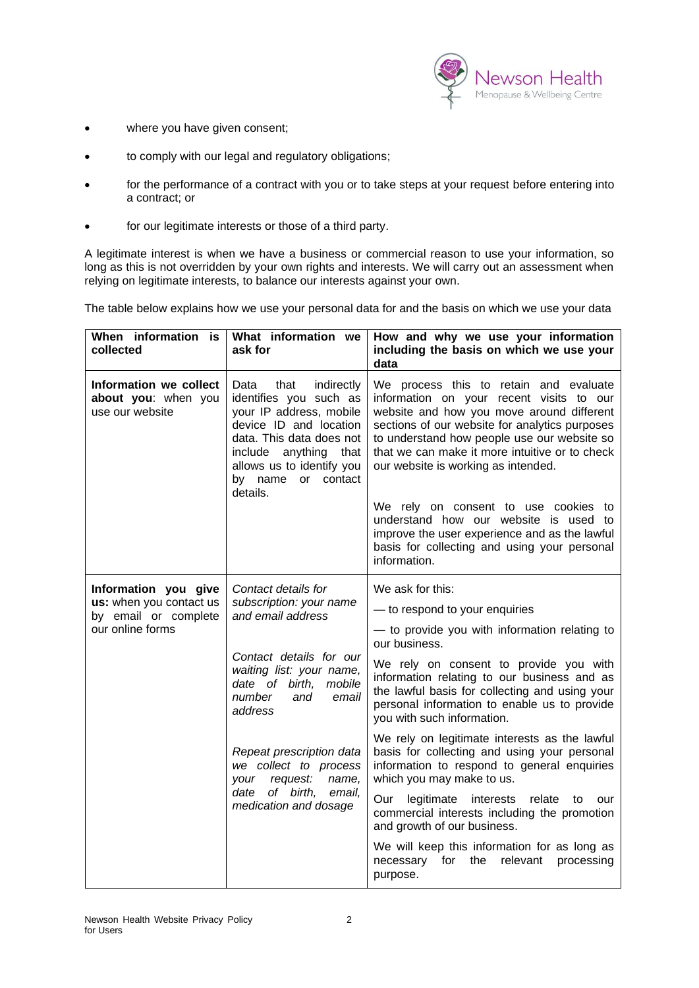

- where you have given consent;
- to comply with our legal and regulatory obligations;
- for the performance of a contract with you or to take steps at your request before entering into a contract; or
- for our legitimate interests or those of a third party.

A legitimate interest is when we have a business or commercial reason to use your information, so long as this is not overridden by your own rights and interests. We will carry out an assessment when relying on legitimate interests, to balance our interests against your own.

The table below explains how we use your personal data for and the basis on which we use your data

| When information is<br>collected                                                            | What information we<br>ask for                                                                                                                                                                                                                                                                                                     | How and why we use your information<br>including the basis on which we use your<br>data                                                                                                                                                                                                                                                                                                                                                                                                                                                                                                                                                                                                                                                                                 |
|---------------------------------------------------------------------------------------------|------------------------------------------------------------------------------------------------------------------------------------------------------------------------------------------------------------------------------------------------------------------------------------------------------------------------------------|-------------------------------------------------------------------------------------------------------------------------------------------------------------------------------------------------------------------------------------------------------------------------------------------------------------------------------------------------------------------------------------------------------------------------------------------------------------------------------------------------------------------------------------------------------------------------------------------------------------------------------------------------------------------------------------------------------------------------------------------------------------------------|
| Information we collect<br>about you: when you<br>use our website                            | indirectly<br>Data<br>that<br>identifies you such as<br>your IP address, mobile<br>device ID and location<br>data. This data does not<br>include anything that<br>allows us to identify you<br>by name or contact<br>details.                                                                                                      | We process this to retain and evaluate<br>information on your recent visits to our<br>website and how you move around different<br>sections of our website for analytics purposes<br>to understand how people use our website so<br>that we can make it more intuitive or to check<br>our website is working as intended.<br>We rely on consent to use cookies to<br>understand how our website is used to<br>improve the user experience and as the lawful<br>basis for collecting and using your personal<br>information.                                                                                                                                                                                                                                             |
| Information you give<br>us: when you contact us<br>by email or complete<br>our online forms | Contact details for<br>subscription: your name<br>and email address<br>Contact details for our<br>waiting list: your name,<br>date of birth,<br>mobile<br>number<br>and<br>email<br>address<br>Repeat prescription data<br>we collect to process<br>request:<br>name,<br>vour<br>date of birth,<br>email,<br>medication and dosage | We ask for this:<br>- to respond to your enquiries<br>- to provide you with information relating to<br>our business.<br>We rely on consent to provide you with<br>information relating to our business and as<br>the lawful basis for collecting and using your<br>personal information to enable us to provide<br>you with such information.<br>We rely on legitimate interests as the lawful<br>basis for collecting and using your personal<br>information to respond to general enquiries<br>which you may make to us.<br>Our legitimate interests relate<br>to<br>our<br>commercial interests including the promotion<br>and growth of our business.<br>We will keep this information for as long as<br>for the<br>relevant<br>necessary<br>processing<br>purpose. |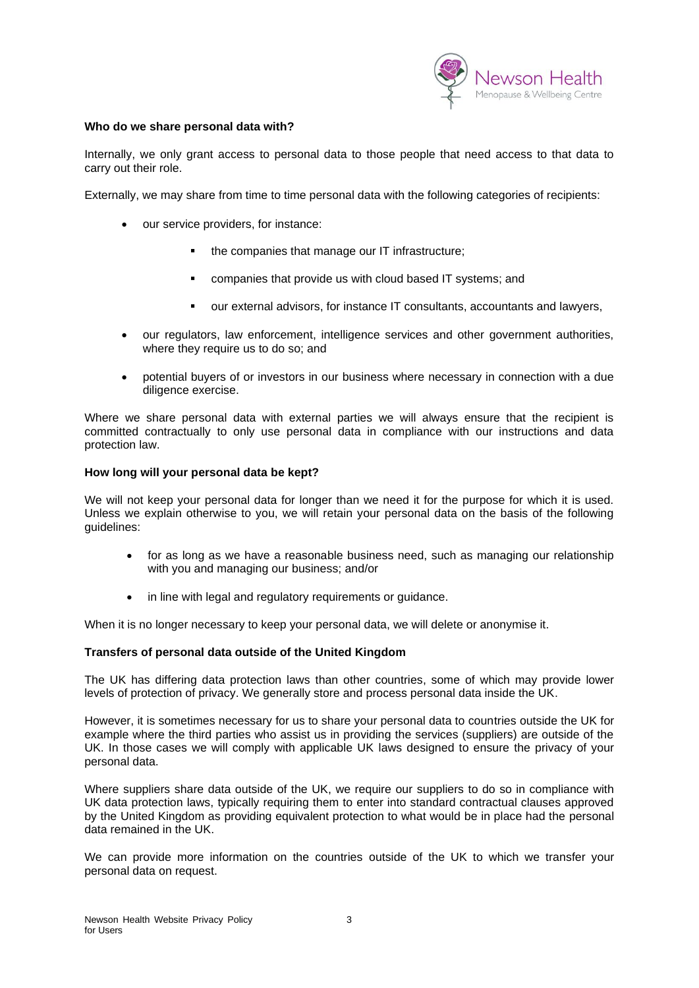

#### **Who do we share personal data with?**

Internally, we only grant access to personal data to those people that need access to that data to carry out their role.

Externally, we may share from time to time personal data with the following categories of recipients:

- our service providers, for instance:
	- the companies that manage our IT infrastructure;
	- companies that provide us with cloud based IT systems; and
	- our external advisors, for instance IT consultants, accountants and lawyers,
- our regulators, law enforcement, intelligence services and other government authorities, where they require us to do so; and
- potential buyers of or investors in our business where necessary in connection with a due diligence exercise.

Where we share personal data with external parties we will always ensure that the recipient is committed contractually to only use personal data in compliance with our instructions and data protection law.

#### **How long will your personal data be kept?**

We will not keep your personal data for longer than we need it for the purpose for which it is used. Unless we explain otherwise to you, we will retain your personal data on the basis of the following guidelines:

- for as long as we have a reasonable business need, such as managing our relationship with you and managing our business; and/or
- in line with legal and regulatory requirements or guidance.

When it is no longer necessary to keep your personal data, we will delete or anonymise it.

#### **Transfers of personal data outside of the United Kingdom**

The UK has differing data protection laws than other countries, some of which may provide lower levels of protection of privacy. We generally store and process personal data inside the UK.

However, it is sometimes necessary for us to share your personal data to countries outside the UK for example where the third parties who assist us in providing the services (suppliers) are outside of the UK. In those cases we will comply with applicable UK laws designed to ensure the privacy of your personal data.

Where suppliers share data outside of the UK, we require our suppliers to do so in compliance with UK data protection laws, typically requiring them to enter into standard contractual clauses approved by the United Kingdom as providing equivalent protection to what would be in place had the personal data remained in the UK.

We can provide more information on the countries outside of the UK to which we transfer your personal data on request.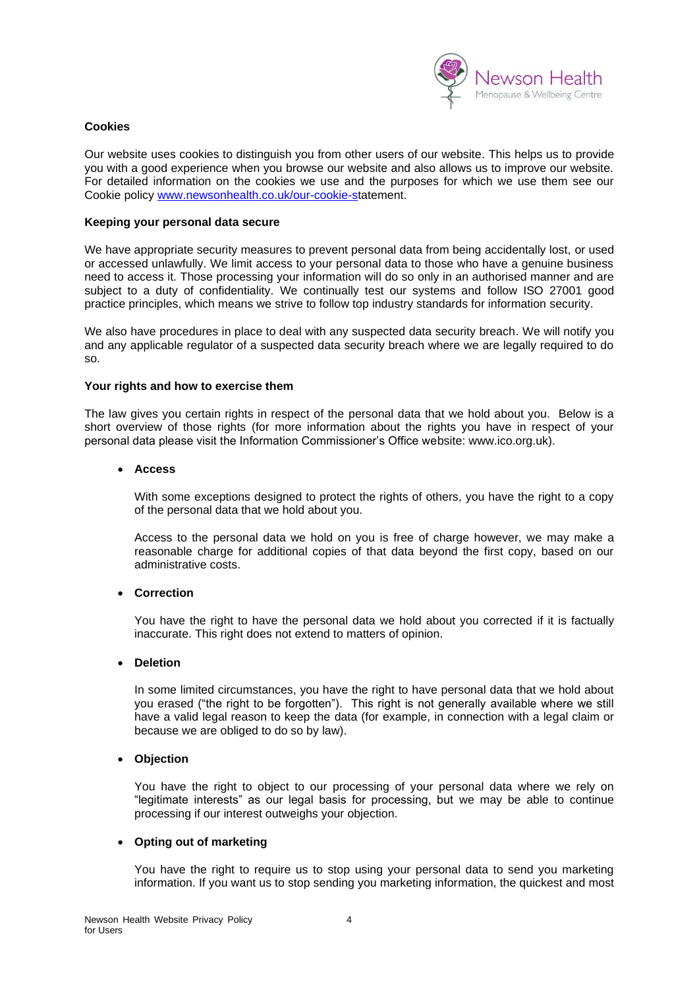

## **Cookies**

Our website uses cookies to distinguish you from other users of our website. This helps us to provide you with a good experience when you browse our website and also allows us to improve our website. For detailed information on the cookies we use and the purposes for which we use them see our Cookie policy [www.newsonhealth.co.uk/our-cookie-st](http://www.newsonhealth.co.uk/our-cookie-s)atement.

## **Keeping your personal data secure**

We have appropriate security measures to prevent personal data from being accidentally lost, or used or accessed unlawfully. We limit access to your personal data to those who have a genuine business need to access it. Those processing your information will do so only in an authorised manner and are subject to a duty of confidentiality. We continually test our systems and follow ISO 27001 good practice principles, which means we strive to follow top industry standards for information security.

We also have procedures in place to deal with any suspected data security breach. We will notify you and any applicable regulator of a suspected data security breach where we are legally required to do so.

## **Your rights and how to exercise them**

The law gives you certain rights in respect of the personal data that we hold about you. Below is a short overview of those rights (for more information about the rights you have in respect of your personal data please visit the Information Commissioner's Office website: www.ico.org.uk).

#### • **Access**

With some exceptions designed to protect the rights of others, you have the right to a copy of the personal data that we hold about you.

Access to the personal data we hold on you is free of charge however, we may make a reasonable charge for additional copies of that data beyond the first copy, based on our administrative costs.

## • **Correction**

You have the right to have the personal data we hold about you corrected if it is factually inaccurate. This right does not extend to matters of opinion.

### • **Deletion**

In some limited circumstances, you have the right to have personal data that we hold about you erased ("the right to be forgotten"). This right is not generally available where we still have a valid legal reason to keep the data (for example, in connection with a legal claim or because we are obliged to do so by law).

## • **Objection**

You have the right to object to our processing of your personal data where we rely on "legitimate interests" as our legal basis for processing, but we may be able to continue processing if our interest outweighs your objection.

## • **Opting out of marketing**

You have the right to require us to stop using your personal data to send you marketing information. If you want us to stop sending you marketing information, the quickest and most